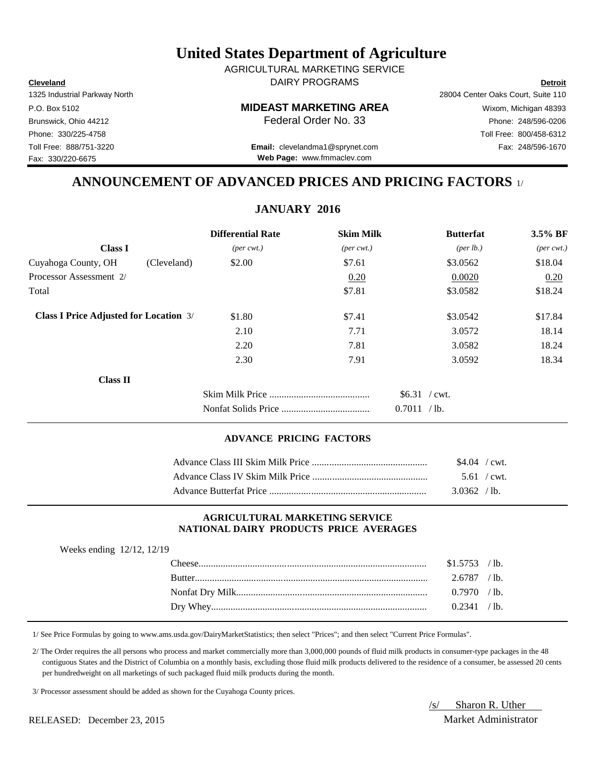## **United States Department of Agriculture**

**Cleveland Detroit** DAIRY PROGRAMS AGRICULTURAL MARKETING SERVICE

Fax: 330/220-6675

## P.O. Box 5102 **MIDEAST MARKETING AREA** Wixom, Michigan 48393

Toll Free: 888/751-3220 Fax: 248/596-1670 **Email:** clevelandma1@sprynet.com

1325 Industrial Parkway North 28004 Center Oaks Court, Suite 110 Brunswick, Ohio 44212 **Phone: 248/596-0206 Federal Order No. 33** Phone: 248/596-0206 Phone: 330/225-4758 Toll Free: 800/458-6312

## **ANNOUNCEMENT OF ADVANCED PRICES AND PRICING FACTORS** 1/

**JANUARY 2016**

|                                               | <b>Differential Rate</b>    | <b>Skim Milk</b>            | <b>Butterfat</b>     | $3.5\%$ BF                  |
|-----------------------------------------------|-----------------------------|-----------------------------|----------------------|-----------------------------|
| <b>Class I</b>                                | $(\text{per} \text{ cwt.})$ | $(\text{per} \text{ cwt.})$ | ${\rm (per \, lb.)}$ | $(\text{per} \text{ cwt.})$ |
| Cuyahoga County, OH<br>(Cleveland)            | \$2.00                      | \$7.61                      | \$3.0562             | \$18.04                     |
| Processor Assessment 2/                       |                             | 0.20                        | 0.0020               | 0.20                        |
| Total                                         |                             | \$7.81                      | \$3.0582             | \$18.24                     |
| <b>Class I Price Adjusted for Location 3/</b> | \$1.80                      | \$7.41                      | \$3.0542             | \$17.84                     |
|                                               | 2.10                        | 7.71                        | 3.0572               | 18.14                       |
|                                               | 2.20                        | 7.81                        | 3.0582               | 18.24                       |
|                                               | 2.30                        | 7.91                        | 3.0592               | 18.34                       |
| <b>Class II</b>                               |                             |                             |                      |                             |
|                                               |                             |                             | $$6.31$ / cwt.       |                             |
|                                               |                             |                             | 0.7011 / lb.         |                             |

### **ADVANCE PRICING FACTORS**

| $$4.04$ / cwt. |  |
|----------------|--|
| $5.61$ / cwt.  |  |
| 3.0362 / lb.   |  |

#### **AGRICULTURAL MARKETING SERVICE NATIONAL DAIRY PRODUCTS PRICE AVERAGES**

| Weeks ending 12/12, 12/19 |                |  |
|---------------------------|----------------|--|
|                           | $$1.5753$ /lb. |  |
|                           | $2.6787$ /lb.  |  |
|                           | $0.7970$ /lb.  |  |
|                           | 0.2341 / lb.   |  |
|                           |                |  |

1/ See Price Formulas by going to www.ams.usda.gov/DairyMarketStatistics; then select "Prices"; and then select "Current Price Formulas".

 2/ The Order requires the all persons who process and market commercially more than 3,000,000 pounds of fluid milk products in consumer-type packages in the 48 contiguous States and the District of Columbia on a monthly basis, excluding those fluid milk products delivered to the residence of a consumer, be assessed 20 cents per hundredweight on all marketings of such packaged fluid milk products during the month.

3/ Processor assessment should be added as shown for the Cuyahoga County prices.

RELEASED: December 23, 2015 Market Administrator

/s/ Sharon R. Uther

**Web Page:** www.fmmaclev.com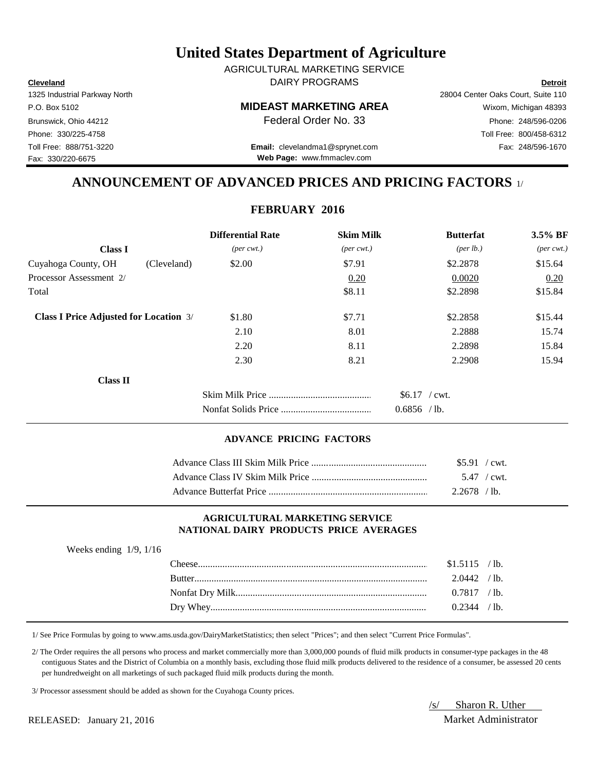## **United States Department of Agriculture**

**Cleveland Detroit** DAIRY PROGRAMS AGRICULTURAL MARKETING SERVICE

## P.O. Box 5102 **MIDEAST MARKETING AREA** Wixom, Michigan 48393

Toll Free: 888/751-3220 Fax: 248/596-1670 **Email:** clevelandma1@sprynet.com **Web Page:** www.fmmaclev.com

# 1325 Industrial Parkway North 28004 Center Oaks Court, Suite 110 Brunswick, Ohio 44212 **Phone: 248/596-0206 Federal Order No. 33** Phone: 248/596-0206 Phone: 330/225-4758 Toll Free: 800/458-6312

**ANNOUNCEMENT OF ADVANCED PRICES AND PRICING FACTORS** 1/

## **FEBRUARY 2016**

|                                               |             | <b>Differential Rate</b>    | <b>Skim Milk</b>            | <b>Butterfat</b>                | 3.5% BF                     |
|-----------------------------------------------|-------------|-----------------------------|-----------------------------|---------------------------------|-----------------------------|
| <b>Class I</b>                                |             | $(\text{per} \text{ cwt.})$ | $(\text{per} \text{ cwt.})$ | (per lb.)                       | $(\text{per} \text{ cwt.})$ |
| Cuyahoga County, OH                           | (Cleveland) | \$2.00                      | \$7.91                      | \$2.2878                        | \$15.64                     |
| Processor Assessment 2/                       |             |                             | 0.20                        | 0.0020                          | 0.20                        |
| Total                                         |             |                             | \$8.11                      | \$2.2898                        | \$15.84                     |
| <b>Class I Price Adjusted for Location 3/</b> |             | \$1.80                      | \$7.71                      | \$2.2858                        | \$15.44                     |
|                                               |             | 2.10                        | 8.01                        | 2.2888                          | 15.74                       |
|                                               |             | 2.20                        | 8.11                        | 2.2898                          | 15.84                       |
|                                               |             | 2.30                        | 8.21                        | 2.2908                          | 15.94                       |
| <b>Class II</b>                               |             |                             |                             |                                 |                             |
|                                               |             |                             |                             | $$6.17$ / cwt.<br>$0.6856$ /lb. |                             |

#### **ADVANCE PRICING FACTORS**

| $$5.91$ / cwt. |  |
|----------------|--|
| 5.47 / cwt.    |  |
| $2.2678$ /lb.  |  |

### **AGRICULTURAL MARKETING SERVICE NATIONAL DAIRY PRODUCTS PRICE AVERAGES**

| Weeks ending $1/9$ , $1/16$ |                |  |
|-----------------------------|----------------|--|
|                             | $$1.5115$ /lb. |  |
|                             | $2.0442$ /lb.  |  |
|                             | $0.7817$ /lb.  |  |
|                             | $0.2344$ /lb.  |  |
|                             |                |  |

1/ See Price Formulas by going to www.ams.usda.gov/DairyMarketStatistics; then select "Prices"; and then select "Current Price Formulas".

 2/ The Order requires the all persons who process and market commercially more than 3,000,000 pounds of fluid milk products in consumer-type packages in the 48 contiguous States and the District of Columbia on a monthly basis, excluding those fluid milk products delivered to the residence of a consumer, be assessed 20 cents per hundredweight on all marketings of such packaged fluid milk products during the month.

3/ Processor assessment should be added as shown for the Cuyahoga County prices.

RELEASED: January 21, 2016 Market Administrator

/s/ Sharon R. Uther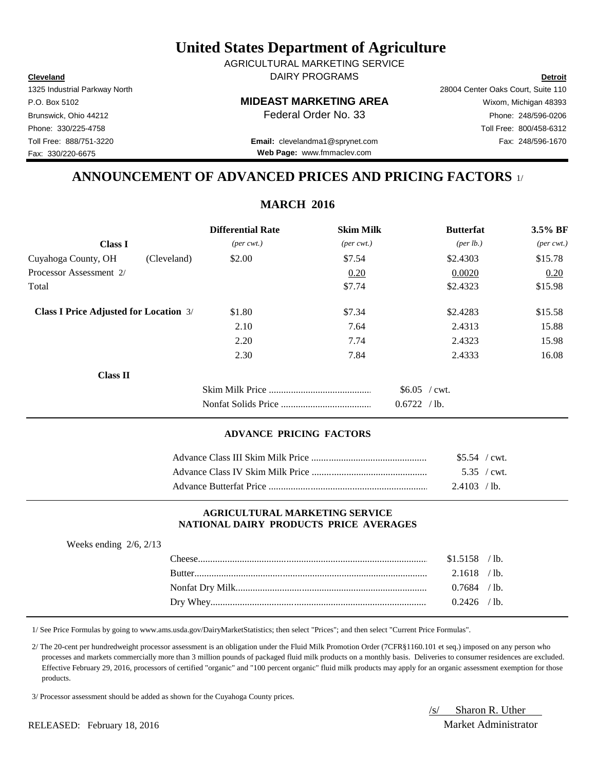Weeks ending 2/6, 2/13

## **United States Department of Agriculture**

**Cleveland Detroit** DAIRY PROGRAMS AGRICULTURAL MARKETING SERVICE

**Web Page:** www.fmmaclev.com

1325 Industrial Parkway North 28004 Center Oaks Court, Suite 110 P.O. Box 5102 **MIDEAST MARKETING AREA** Wixom, Michigan 48393 Brunswick, Ohio 44212 **Phone: 248/596-0206 Federal Order No. 33** Phone: 248/596-0206 Phone: 330/225-4758 Toll Free: 800/458-6312 Toll Free: 888/751-3220 Fax: 248/596-1670 **Email:** clevelandma1@sprynet.com

**ANNOUNCEMENT OF ADVANCED PRICES AND PRICING FACTORS** 1/

|                                               | <b>Differential Rate</b>    | <b>Skim Milk</b>            | <b>Butterfat</b>          | $3.5\%$ BF                  |
|-----------------------------------------------|-----------------------------|-----------------------------|---------------------------|-----------------------------|
| <b>Class I</b>                                | $(\text{per} \text{ cwt.})$ | $(\text{per} \text{ cwt.})$ | ${\rm (per \, lb.)}$      | $(\text{per} \text{ cwt.})$ |
| Cuyahoga County, OH                           | (Cleveland)<br>\$2.00       | \$7.54                      | \$2.4303                  | \$15.78                     |
| Processor Assessment 2/                       |                             | 0.20                        | 0.0020                    | 0.20                        |
| Total                                         |                             | \$7.74                      | \$2.4323                  | \$15.98                     |
| <b>Class I Price Adjusted for Location 3/</b> | \$1.80                      | \$7.34                      | \$2.4283                  | \$15.58                     |
|                                               | 2.10                        | 7.64                        | 2.4313                    | 15.88                       |
|                                               | 2.20                        | 7.74                        | 2.4323                    | 15.98                       |
|                                               | 2.30                        | 7.84                        | 2.4333                    | 16.08                       |
| <b>Class II</b>                               |                             |                             |                           |                             |
|                                               |                             |                             | $$6.05$ / cwt.            |                             |
|                                               |                             |                             | 0.6722<br>/1 <sub>b</sub> |                             |

#### **ADVANCE PRICING FACTORS**

| $$5.54$ / cwt. |  |
|----------------|--|
|                |  |
| 2.4103 / lb.   |  |

### **AGRICULTURAL MARKETING SERVICE NATIONAL DAIRY PRODUCTS PRICE AVERAGES**

| <sup>n</sup> heese | \$1.5158 | $\prime$ 1b.    |
|--------------------|----------|-----------------|
| <b>Butter</b>      | 2.1618   | $^{\prime}$ 1b. |
|                    | 0.7684   | $^{\prime}$ 1b. |
|                    | 0.2426   | $^{\prime}$ 1b. |

1/ See Price Formulas by going to www.ams.usda.gov/DairyMarketStatistics; then select "Prices"; and then select "Current Price Formulas".

 2/ The 20-cent per hundredweight processor assessment is an obligation under the Fluid Milk Promotion Order (7CFR§1160.101 et seq.) imposed on any person who processes and markets commercially more than 3 million pounds of packaged fluid milk products on a monthly basis. Deliveries to consumer residences are excluded. Effective February 29, 2016, processors of certified "organic" and "100 percent organic" fluid milk products may apply for an organic assessment exemption for those products.

3/ Processor assessment should be added as shown for the Cuyahoga County prices.

/s/ Sharon R. Uther RELEASED: February 18, 2016 Market Administrator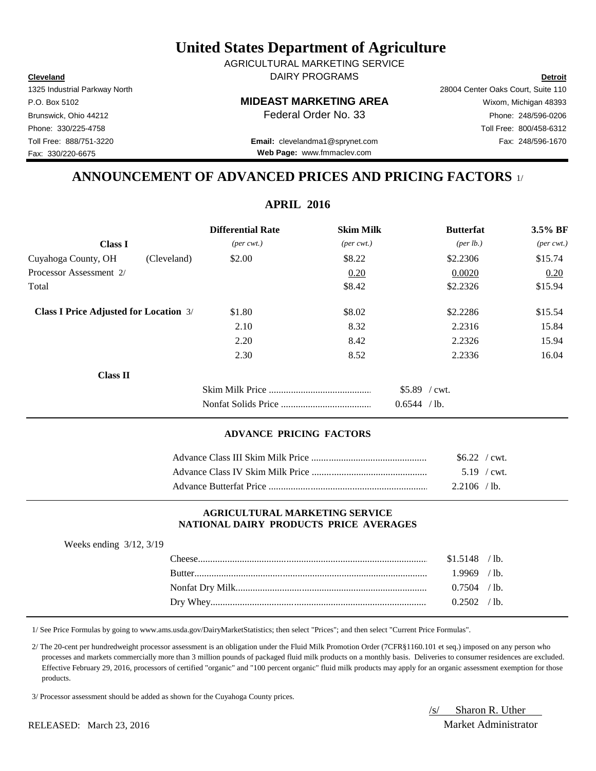/s/ Sharon R. Uther RELEASED: March 23, 2016 Market Administrator

## **United States Department of Agriculture**

**Cleveland Detroit** DAIRY PROGRAMS AGRICULTURAL MARKETING SERVICE

1325 Industrial Parkway North 28004 Center Oaks Court, Suite 110 P.O. Box 5102 **MIDEAST MARKETING AREA** Wixom, Michigan 48393 Brunswick, Ohio 44212 **Phone: 248/596-0206 Federal Order No. 33** Phone: 248/596-0206 Phone: 330/225-4758 Toll Free: 800/458-6312

Toll Free: 888/751-3220 Fax: 248/596-1670 **Email:** clevelandma1@sprynet.com **Web Page:** www.fmmaclev.com

## **ANNOUNCEMENT OF ADVANCED PRICES AND PRICING FACTORS** 1/

| <b>Differential Rate</b>    | <b>Skim Milk</b>            | <b>Butterfat</b>   | 3.5% BF                     |
|-----------------------------|-----------------------------|--------------------|-----------------------------|
| $(\text{per} \text{ cwt.})$ | $(\text{per} \text{ cwt.})$ | $(\text{per lb.})$ | $(\text{per} \text{ cwt.})$ |
| \$2.00                      | \$8.22                      | \$2.2306           | \$15.74                     |
|                             | 0.20                        | 0.0020             | 0.20                        |
|                             | \$8.42                      | \$2.2326           | \$15.94                     |
| \$1.80                      | \$8.02                      | \$2.2286           | \$15.54                     |
| 2.10                        | 8.32                        | 2.2316             | 15.84                       |
| 2.20                        | 8.42                        | 2.2326             | 15.94                       |
| 2.30                        | 8.52                        | 2.2336             | 16.04                       |
|                             |                             |                    |                             |
|                             |                             | $$5.89$ / cwt.     |                             |
|                             |                             | 0.6544 / lb.       |                             |
|                             |                             |                    |                             |

## **ADVANCE PRICING FACTORS**

| $$6.22$ / cwt. |  |
|----------------|--|
| $5.19$ / cwt.  |  |
| $2.2106$ /lb.  |  |

#### **AGRICULTURAL MARKETING SERVICE NATIONAL DAIRY PRODUCTS PRICE AVERAGES**

| The <sub>ere</sub> | \$1.5148 | 1 <sub>b</sub>  |
|--------------------|----------|-----------------|
| <b>Butter</b>      | .9969    | 1 <sub>b</sub>  |
|                    | 0.7504   | $\Delta$ 1b.    |
| / Whev<br>Drv.     | 2502     | $^{\prime}$ 1b. |

1/ See Price Formulas by going to www.ams.usda.gov/DairyMarketStatistics; then select "Prices"; and then select "Current Price Formulas".

 2/ The 20-cent per hundredweight processor assessment is an obligation under the Fluid Milk Promotion Order (7CFR§1160.101 et seq.) imposed on any person who processes and markets commercially more than 3 million pounds of packaged fluid milk products on a monthly basis. Deliveries to consumer residences are excluded. Effective February 29, 2016, processors of certified "organic" and "100 percent organic" fluid milk products may apply for an organic assessment exemption for those products.

3/ Processor assessment should be added as shown for the Cuyahoga County prices.

Fax: 330/220-6675

# **APRIL 2016**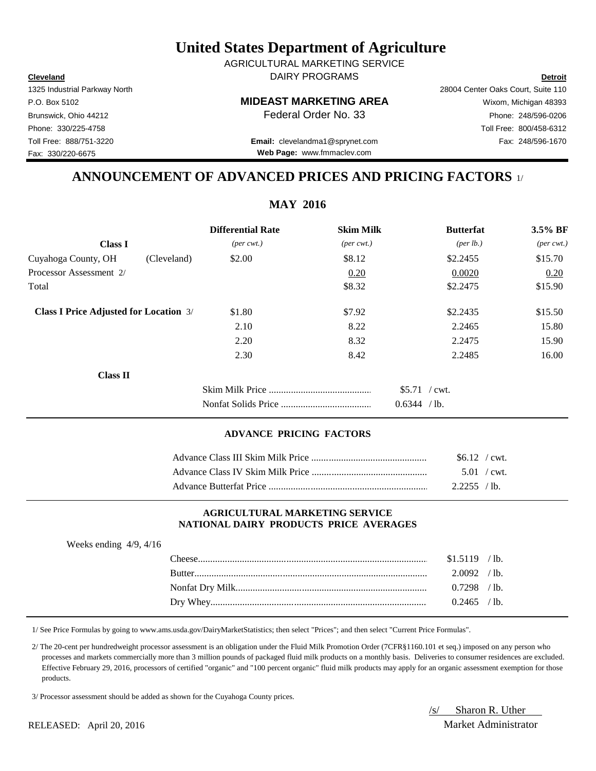/s/ Sharon R. Uther RELEASED: April 20, 2016 Market Administrator

## **United States Department of Agriculture**

**Cleveland Detroit** DAIRY PROGRAMS AGRICULTURAL MARKETING SERVICE

1325 Industrial Parkway North 28004 Center Oaks Court, Suite 110 P.O. Box 5102 **MIDEAST MARKETING AREA** Wixom, Michigan 48393 Brunswick, Ohio 44212 **Phone: 248/596-0206 Federal Order No. 33** Phone: 248/596-0206

Phone: 330/225-4758 Toll Free: 800/458-6312

Toll Free: 888/751-3220 Fax: 248/596-1670 **Email:** clevelandma1@sprynet.com **Web Page:** www.fmmaclev.com

## **ANNOUNCEMENT OF ADVANCED PRICES AND PRICING FACTORS** 1/

**MAY 2016**

|                                               | <b>Differential Rate</b>    | <b>Skim Milk</b>            | <b>Butterfat</b>               | 3.5% BF                     |
|-----------------------------------------------|-----------------------------|-----------------------------|--------------------------------|-----------------------------|
| <b>Class I</b>                                | $(\text{per} \text{ cwt.})$ | $(\text{per} \text{ cwt.})$ | ${\rm (per \, lb.)}$           | $(\text{per} \text{ cwt.})$ |
| Cuyahoga County, OH<br>(Cleveland)            | \$2.00                      | \$8.12                      | \$2.2455                       | \$15.70                     |
| Processor Assessment 2/                       |                             | 0.20                        | 0.0020                         | 0.20                        |
| Total                                         |                             | \$8.32                      | \$2.2475                       | \$15.90                     |
| <b>Class I Price Adjusted for Location 3/</b> | \$1.80                      | \$7.92                      | \$2.2435                       | \$15.50                     |
|                                               | 2.10                        | 8.22                        | 2.2465                         | 15.80                       |
|                                               | 2.20                        | 8.32                        | 2.2475                         | 15.90                       |
|                                               | 2.30                        | 8.42                        | 2.2485                         | 16.00                       |
| <b>Class II</b>                               |                             |                             |                                |                             |
|                                               |                             |                             | $$5.71$ / cwt.<br>0.6344 / lb. |                             |

## **ADVANCE PRICING FACTORS**

| $$6.12$ / cwt.        |  |
|-----------------------|--|
| $5.01 / \text{cwt}$ . |  |
| $2.2255$ /lb.         |  |

#### **AGRICULTURAL MARKETING SERVICE NATIONAL DAIRY PRODUCTS PRICE AVERAGES**

| Weeks ending $4/9$ , $4/16$ |                |         |
|-----------------------------|----------------|---------|
|                             | $$1.5119$ /lb. |         |
|                             | $2.0092$ /lb.  |         |
|                             | 0.7298         | $/1b$ . |
|                             | $0.2465$ /     | ′ 1b.   |

1/ See Price Formulas by going to www.ams.usda.gov/DairyMarketStatistics; then select "Prices"; and then select "Current Price Formulas".

 2/ The 20-cent per hundredweight processor assessment is an obligation under the Fluid Milk Promotion Order (7CFR§1160.101 et seq.) imposed on any person who processes and markets commercially more than 3 million pounds of packaged fluid milk products on a monthly basis. Deliveries to consumer residences are excluded. Effective February 29, 2016, processors of certified "organic" and "100 percent organic" fluid milk products may apply for an organic assessment exemption for those products.

3/ Processor assessment should be added as shown for the Cuyahoga County prices.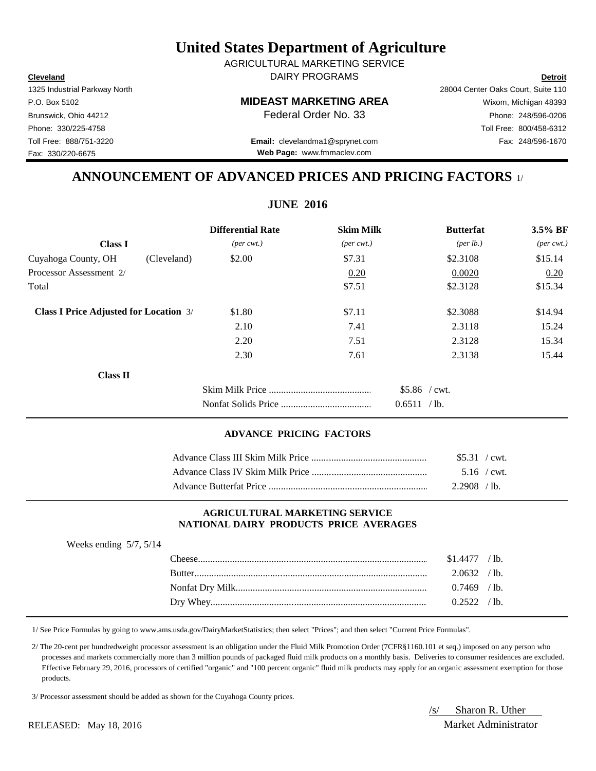/s/ Sharon R. Uther RELEASED: May 18, 2016 Market Administrator

## **United States Department of Agriculture**

**Cleveland Detroit** DAIRY PROGRAMS AGRICULTURAL MARKETING SERVICE

1325 Industrial Parkway North 28004 Center Oaks Court, Suite 110 P.O. Box 5102 **MIDEAST MARKETING AREA** Wixom, Michigan 48393 Brunswick, Ohio 44212 **Phone: 248/596-0206 Federal Order No. 33** Phone: 248/596-0206 Phone: 330/225-4758 Toll Free: 800/458-6312 Toll Free: 888/751-3220 Fax: 248/596-1670 **Email:** clevelandma1@sprynet.com

**Web Page:** www.fmmaclev.com

## **ANNOUNCEMENT OF ADVANCED PRICES AND PRICING FACTORS** 1/

**JUNE 2016**

| <b>Differential Rate</b>                                | <b>Skim Milk</b>            | <b>Butterfat</b>     | 3.5% BF                     |
|---------------------------------------------------------|-----------------------------|----------------------|-----------------------------|
| $(\text{per} \text{ cwt.})$                             | $(\text{per} \text{ cwt.})$ | ${\rm (per \, lb.)}$ | $(\text{per} \text{ cwt.})$ |
| \$2.00<br>(Cleveland)                                   | \$7.31                      | \$2.3108             | \$15.14                     |
|                                                         | 0.20                        | 0.0020               | 0.20                        |
|                                                         | \$7.51                      | \$2.3128             | \$15.34                     |
| <b>Class I Price Adjusted for Location 3/</b><br>\$1.80 | \$7.11                      | \$2.3088             | \$14.94                     |
| 2.10                                                    | 7.41                        | 2.3118               | 15.24                       |
| 2.20                                                    | 7.51                        | 2.3128               | 15.34                       |
| 2.30                                                    | 7.61                        | 2.3138               | 15.44                       |
|                                                         |                             |                      |                             |
|                                                         |                             | $$5.86$ / cwt.       |                             |
|                                                         |                             |                      | 0.6511 / lb.                |

## **ADVANCE PRICING FACTORS**

| $$5.31$ / cwt. |  |
|----------------|--|
| $5.16$ / cwt.  |  |
| $2.2908$ /lb.  |  |

#### **AGRICULTURAL MARKETING SERVICE NATIONAL DAIRY PRODUCTS PRICE AVERAGES**

| Weeks ending $5/7$ , $5/14$ |               |               |              |
|-----------------------------|---------------|---------------|--------------|
|                             |               | $$1.4477$ /   | $\prime$ lb. |
|                             | <b>Butter</b> | 2.0632 / lb.  |              |
|                             |               | $0.7469$ /lb. |              |
|                             |               |               | -lb          |

1/ See Price Formulas by going to www.ams.usda.gov/DairyMarketStatistics; then select "Prices"; and then select "Current Price Formulas".

 2/ The 20-cent per hundredweight processor assessment is an obligation under the Fluid Milk Promotion Order (7CFR§1160.101 et seq.) imposed on any person who processes and markets commercially more than 3 million pounds of packaged fluid milk products on a monthly basis. Deliveries to consumer residences are excluded. Effective February 29, 2016, processors of certified "organic" and "100 percent organic" fluid milk products may apply for an organic assessment exemption for those products.

3/ Processor assessment should be added as shown for the Cuyahoga County prices.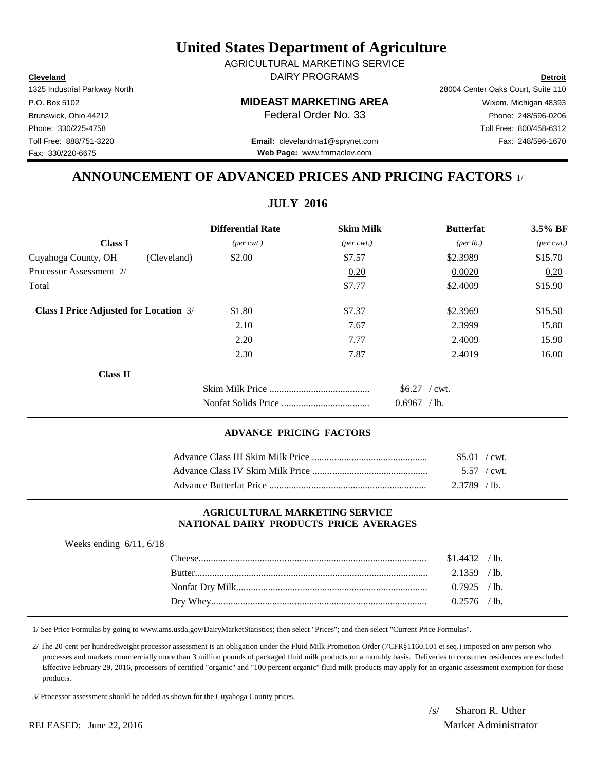RELEASED: June 22, 2016 Market Administrator

## **United States Department of Agriculture**

**Cleveland Detroit** DAIRY PROGRAMS AGRICULTURAL MARKETING SERVICE

1325 Industrial Parkway North 28004 Center Oaks Court, Suite 110 P.O. Box 5102 **MIDEAST MARKETING AREA** Wixom, Michigan 48393 Brunswick, Ohio 44212 **Phone: 248/596-0206 Federal Order No. 33** Phone: 248/596-0206 Phone: 330/225-4758 Toll Free: 800/458-6312 Toll Free: 888/751-3220 Fax: 248/596-1670 **Email:** clevelandma1@sprynet.com

**Web Page:** www.fmmaclev.com

## **ANNOUNCEMENT OF ADVANCED PRICES AND PRICING FACTORS** 1/

**JULY 2016**

|                                               |             | <b>Differential Rate</b>    | <b>Skim Milk</b>            | <b>Butterfat</b>     | 3.5% BF                     |
|-----------------------------------------------|-------------|-----------------------------|-----------------------------|----------------------|-----------------------------|
| <b>Class I</b>                                |             | $(\text{per} \text{ cwt.})$ | $(\text{per} \text{ cwt.})$ | ${\rm (per \, lb.)}$ | $(\text{per} \text{ cwt.})$ |
| Cuyahoga County, OH                           | (Cleveland) | \$2.00                      | \$7.57                      | \$2.3989             | \$15.70                     |
| Processor Assessment 2/                       |             |                             | 0.20                        | 0.0020               | 0.20                        |
| Total                                         |             |                             | \$7.77                      | \$2.4009             | \$15.90                     |
| <b>Class I Price Adjusted for Location 3/</b> |             | \$1.80                      | \$7.37                      | \$2.3969             | \$15.50                     |
|                                               |             | 2.10                        | 7.67                        | 2.3999               | 15.80                       |
|                                               |             | 2.20                        | 7.77                        | 2.4009               | 15.90                       |
|                                               |             | 2.30                        | 7.87                        | 2.4019               | 16.00                       |
| <b>Class II</b>                               |             |                             |                             |                      |                             |
|                                               |             |                             |                             | $$6.27$ / cwt.       |                             |
|                                               |             |                             |                             | 0.6967 / lb.         |                             |
|                                               |             |                             |                             |                      |                             |

## **ADVANCE PRICING FACTORS**

| $$5.01$ / cwt. |  |
|----------------|--|
|                |  |
| $2.3789$ /lb.  |  |

#### **AGRICULTURAL MARKETING SERVICE NATIONAL DAIRY PRODUCTS PRICE AVERAGES**

| Weeks ending $6/11$ , $6/18$ |               |                |         |
|------------------------------|---------------|----------------|---------|
|                              |               | $$1.4432$ /lb. |         |
|                              | <b>Butter</b> | 2.1359         | $/1b$ . |
|                              |               | $0.7925$ /lb.  |         |
|                              |               |                |         |

1/ See Price Formulas by going to www.ams.usda.gov/DairyMarketStatistics; then select "Prices"; and then select "Current Price Formulas".

 2/ The 20-cent per hundredweight processor assessment is an obligation under the Fluid Milk Promotion Order (7CFR§1160.101 et seq.) imposed on any person who processes and markets commercially more than 3 million pounds of packaged fluid milk products on a monthly basis. Deliveries to consumer residences are excluded. Effective February 29, 2016, processors of certified "organic" and "100 percent organic" fluid milk products may apply for an organic assessment exemption for those products.

3/ Processor assessment should be added as shown for the Cuyahoga County prices.

/s/ Sharon R. Uther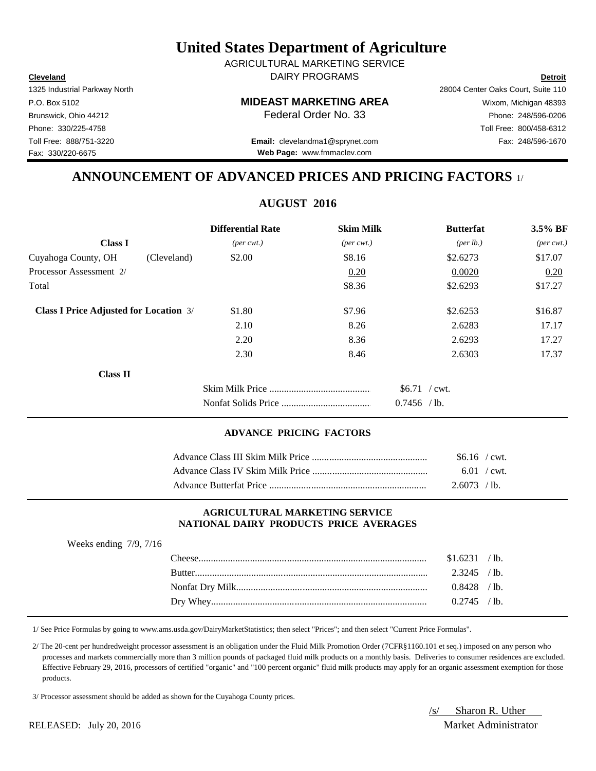1/ See Price Formulas by going to www.ams.usda.gov/DairyMarketStatistics; then select "Prices"; and then select "Current Price Formulas".

 2/ The 20-cent per hundredweight processor assessment is an obligation under the Fluid Milk Promotion Order (7CFR§1160.101 et seq.) imposed on any person who processes and markets commercially more than 3 million pounds of packaged fluid milk products on a monthly basis. Deliveries to consumer residences are excluded. Effective February 29, 2016, processors of certified "organic" and "100 percent organic" fluid milk products may apply for an organic assessment exemption for those products.

3/ Processor assessment should be added as shown for the Cuyahoga County prices.

# **United States Department of Agriculture**

**Cleveland Detroit** DAIRY PROGRAMS AGRICULTURAL MARKETING SERVICE

**Web Page:** www.fmmaclev.com

1325 Industrial Parkway North 28004 Center Oaks Court, Suite 110 P.O. Box 5102 **MIDEAST MARKETING AREA** Wixom, Michigan 48393 Brunswick, Ohio 44212 **Phone: 248/596-0206 Federal Order No. 33** Phone: 248/596-0206 Phone: 330/225-4758 Toll Free: 800/458-6312 Toll Free: 888/751-3220 Fax: 248/596-1670 **Email:** clevelandma1@sprynet.com

**ANNOUNCEMENT OF ADVANCED PRICES AND PRICING FACTORS** 1/

## **AUGUST 2016**

|                                               | <b>Differential Rate</b>    | <b>Skim Milk</b>            | <b>Butterfat</b>                | 3.5% BF                     |
|-----------------------------------------------|-----------------------------|-----------------------------|---------------------------------|-----------------------------|
| <b>Class I</b>                                | $(\text{per} \text{ cwt.})$ | $(\text{per} \text{ cwt.})$ | (per lb.)                       | $(\text{per} \text{ cwt.})$ |
| Cuyahoga County, OH<br>(Cleveland)            | \$2.00                      | \$8.16                      | \$2.6273                        | \$17.07                     |
| Processor Assessment 2/                       |                             | 0.20                        | 0.0020                          | 0.20                        |
| Total                                         |                             | \$8.36                      | \$2.6293                        | \$17.27                     |
| <b>Class I Price Adjusted for Location 3/</b> | \$1.80                      | \$7.96                      | \$2.6253                        | \$16.87                     |
|                                               | 2.10                        | 8.26                        | 2.6283                          | 17.17                       |
|                                               | 2.20                        | 8.36                        | 2.6293                          | 17.27                       |
|                                               | 2.30                        | 8.46                        | 2.6303                          | 17.37                       |
| <b>Class II</b>                               |                             |                             |                                 |                             |
|                                               |                             |                             | $$6.71$ / cwt.<br>$0.7456$ /lb. |                             |

## **ADVANCE PRICING FACTORS**

| $$6.16$ / cwt.        |  |
|-----------------------|--|
| $6.01 / \text{cwt}$ . |  |
| 2.6073 / lb.          |  |

## **AGRICULTURAL MARKETING SERVICE NATIONAL DAIRY PRODUCTS PRICE AVERAGES**

| Weeks ending $7/9$ , $7/16$ |                |      |
|-----------------------------|----------------|------|
|                             | $$1.6231$ /lb. |      |
|                             | $2.3245$ /lb.  |      |
|                             | $0.8428$ /lb.  |      |
|                             | 0.2745.        | ' lb |

RELEASED: July 20, 2016 Market Administrator

Fax: 330/220-6675

/s/ Sharon R. Uther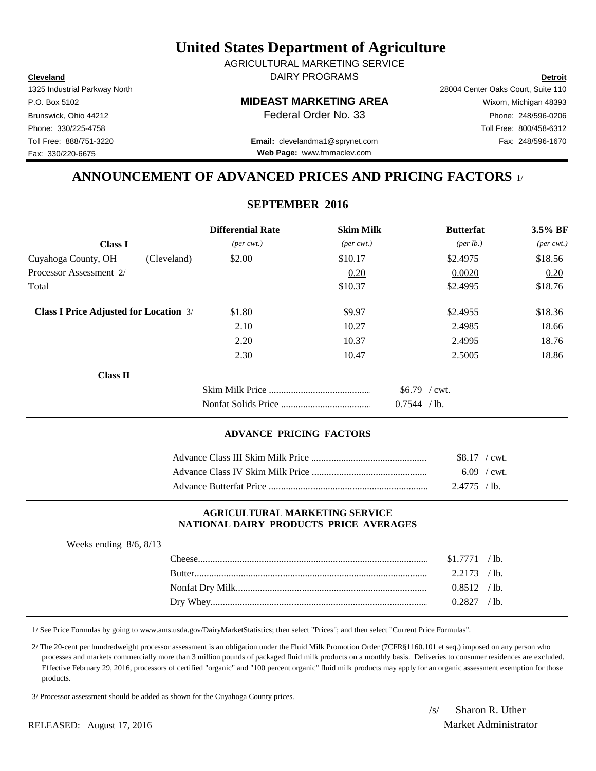Weeks ending 8/6, 8/13

|  | 3/ Processor assessment should be added as shown for the Cuyahoga Count |  |  |  |  |
|--|-------------------------------------------------------------------------|--|--|--|--|
|  |                                                                         |  |  |  |  |

Fax: 330/220-6675

## **United States Department of Agriculture**

**Cleveland Detroit** DAIRY PROGRAMS AGRICULTURAL MARKETING SERVICE

**Web Page:** www.fmmaclev.com

1325 Industrial Parkway North 28004 Center Oaks Court, Suite 110 P.O. Box 5102 **MIDEAST MARKETING AREA** Wixom, Michigan 48393 Brunswick, Ohio 44212 **Phone: 248/596-0206 Federal Order No. 33** Phone: 248/596-0206 Phone: 330/225-4758 Toll Free: 800/458-6312 Toll Free: 888/751-3220 Fax: 248/596-1670 **Email:** clevelandma1@sprynet.com

**ANNOUNCEMENT OF ADVANCED PRICES AND PRICING FACTORS** 1/

## **SEPTEMBER 2016**

|                                               |             | <b>Differential Rate</b>    | <b>Skim Milk</b>            | <b>Butterfat</b>               | 3.5% BF                     |
|-----------------------------------------------|-------------|-----------------------------|-----------------------------|--------------------------------|-----------------------------|
| <b>Class I</b>                                |             | $(\text{per} \text{ cwt.})$ | $(\text{per} \text{ cwt.})$ | ${\rm (per \, lb.)}$           | $(\text{per} \text{ cwt.})$ |
| Cuyahoga County, OH                           | (Cleveland) | \$2.00                      | \$10.17                     | \$2.4975                       | \$18.56                     |
| Processor Assessment 2/                       |             |                             | 0.20                        | 0.0020                         | 0.20                        |
| Total                                         |             |                             | \$10.37                     | \$2.4995                       | \$18.76                     |
| <b>Class I Price Adjusted for Location 3/</b> |             | \$1.80                      | \$9.97                      | \$2.4955                       | \$18.36                     |
|                                               |             | 2.10                        | 10.27                       | 2.4985                         | 18.66                       |
|                                               |             | 2.20                        | 10.37                       | 2.4995                         | 18.76                       |
|                                               |             | 2.30                        | 10.47                       | 2.5005                         | 18.86                       |
| <b>Class II</b>                               |             |                             |                             |                                |                             |
|                                               |             |                             |                             | $$6.79$ / cwt.<br>0.7544 / lb. |                             |

## **ADVANCE PRICING FACTORS**

| $$8.17$ / cwt. |  |
|----------------|--|
| $6.09$ / cwt.  |  |
| $2.4775$ / lb. |  |

#### **AGRICULTURAL MARKETING SERVICE NATIONAL DAIRY PRODUCTS PRICE AVERAGES**

| $The ee$      |          | $\Delta$ 1b.    |
|---------------|----------|-----------------|
| <b>Butter</b> |          | $^{\prime}$ 1b. |
|               | 0.8512   | $^{\prime}$ 1b. |
| Dry Whey      | (1.2827) | lb.             |

1/ See Price Formulas by going to www.ams.usda.gov/DairyMarketStatistics; then select "Prices"; and then select "Current Price Formulas".

 2/ The 20-cent per hundredweight processor assessment is an obligation under the Fluid Milk Promotion Order (7CFR§1160.101 et seq.) imposed on any person who processes and markets commercially more than 3 million pounds of packaged fluid milk products on a monthly basis. Deliveries to consumer residences are excluded. Effective February 29, 2016, processors of certified "organic" and "100 percent organic" fluid milk products may apply for an organic assessment exemption for those products.

should be added as shown for the Cuyahoga County prices.

/s/ Sharon R. Uther RELEASED: August 17, 2016 Market Administrator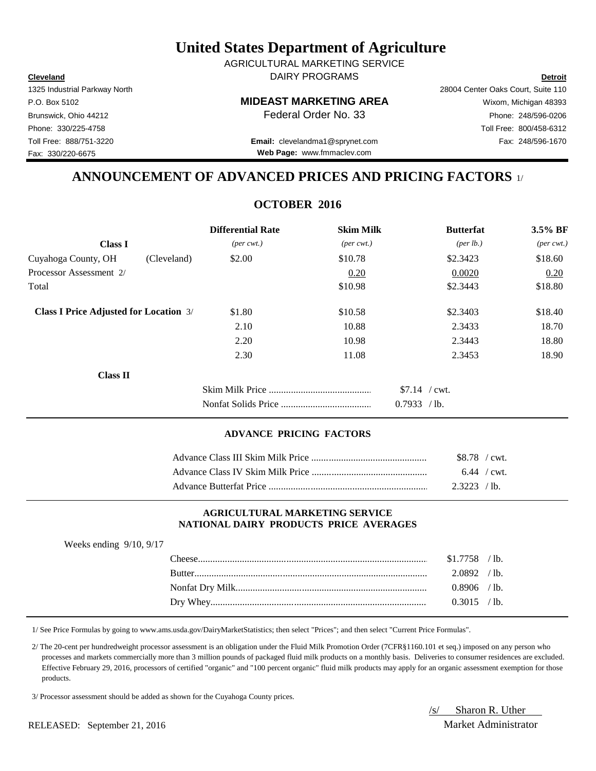RELEASED: September 21, 2016 Market Administrator

## **United States Department of Agriculture**

**Cleveland Detroit** DAIRY PROGRAMS AGRICULTURAL MARKETING SERVICE

**Web Page:** www.fmmaclev.com

1325 Industrial Parkway North 28004 Center Oaks Court, Suite 110 P.O. Box 5102 **MIDEAST MARKETING AREA** Wixom, Michigan 48393 Brunswick, Ohio 44212 **Phone: 248/596-0206 Federal Order No. 33** Phone: 248/596-0206 Phone: 330/225-4758 Toll Free: 800/458-6312 Toll Free: 888/751-3220 Fax: 248/596-1670 **Email:** clevelandma1@sprynet.com

**ANNOUNCEMENT OF ADVANCED PRICES AND PRICING FACTORS** 1/

## **OCTOBER 2016**

|                                               |             | <b>Differential Rate</b>    | <b>Skim Milk</b>            | <b>Butterfat</b>   | 3.5% BF                     |
|-----------------------------------------------|-------------|-----------------------------|-----------------------------|--------------------|-----------------------------|
| <b>Class I</b>                                |             | $(\text{per} \text{ cwt.})$ | $(\text{per} \text{ cwt.})$ | $(\text{per lb.})$ | $(\text{per} \text{ cwt.})$ |
| Cuyahoga County, OH                           | (Cleveland) | \$2.00                      | \$10.78                     | \$2.3423           | \$18.60                     |
| Processor Assessment 2/                       |             |                             | 0.20                        | 0.0020             | 0.20                        |
| Total                                         |             |                             | \$10.98                     | \$2.3443           | \$18.80                     |
| <b>Class I Price Adjusted for Location 3/</b> |             | \$1.80                      | \$10.58                     | \$2.3403           | \$18.40                     |
|                                               |             | 2.10                        | 10.88                       | 2.3433             | 18.70                       |
|                                               |             | 2.20                        | 10.98                       | 2.3443             | 18.80                       |
|                                               |             | 2.30                        | 11.08                       | 2.3453             | 18.90                       |
| <b>Class II</b>                               |             |                             |                             |                    |                             |
|                                               |             |                             |                             | $$7.14$ / cwt.     |                             |
|                                               |             |                             |                             | 0.7933 / lb.       |                             |

## **ADVANCE PRICING FACTORS**

| \$8.78 / cwt. |  |
|---------------|--|
| $6.44$ / cwt. |  |
| $2.3223$ /lb. |  |

### **AGRICULTURAL MARKETING SERVICE NATIONAL DAIRY PRODUCTS PRICE AVERAGES**

| Weeks ending $9/10$ , $9/17$ |               |               |                 |
|------------------------------|---------------|---------------|-----------------|
|                              | Theese –      | \$1.7758      | $/1b$ .         |
|                              | <b>Butter</b> | 2.0892        | /1 <sub>b</sub> |
|                              |               | $0.8906$ /lb. |                 |
|                              | Dry Whey.     | $0.3015$      | $^{\prime}$ 1b. |

1/ See Price Formulas by going to www.ams.usda.gov/DairyMarketStatistics; then select "Prices"; and then select "Current Price Formulas".

 2/ The 20-cent per hundredweight processor assessment is an obligation under the Fluid Milk Promotion Order (7CFR§1160.101 et seq.) imposed on any person who processes and markets commercially more than 3 million pounds of packaged fluid milk products on a monthly basis. Deliveries to consumer residences are excluded. Effective February 29, 2016, processors of certified "organic" and "100 percent organic" fluid milk products may apply for an organic assessment exemption for those products.

3/ Processor assessment should be added as shown for the Cuyahoga County prices.

/s/ Sharon R. Uther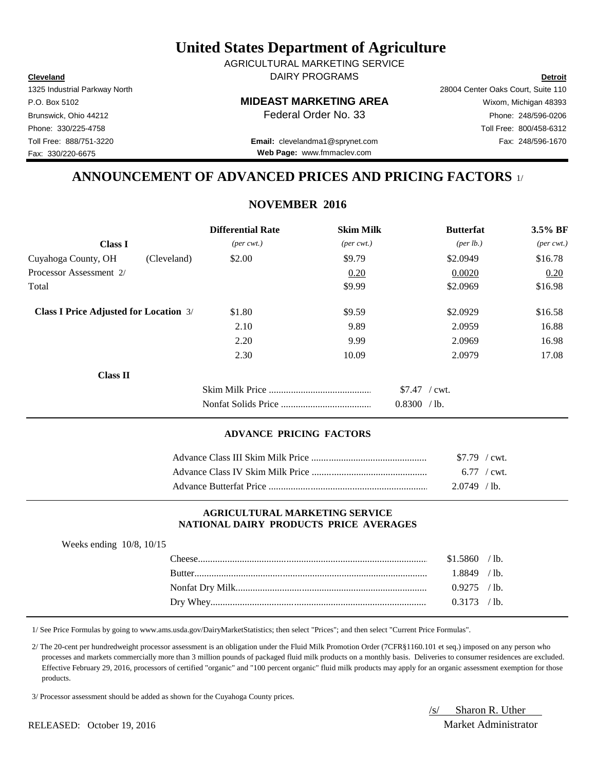RELEASED: October 19, 2016 Market Administrator

## **United States Department of Agriculture**

**Cleveland Detroit** DAIRY PROGRAMS AGRICULTURAL MARKETING SERVICE

**Web Page:** www.fmmaclev.com

1325 Industrial Parkway North 28004 Center Oaks Court, Suite 110 P.O. Box 5102 **MIDEAST MARKETING AREA** Wixom, Michigan 48393 Brunswick, Ohio 44212 **Phone: 248/596-0206 Federal Order No. 33** Phone: 248/596-0206 Phone: 330/225-4758 Toll Free: 800/458-6312 Toll Free: 888/751-3220 Fax: 248/596-1670 **Email:** clevelandma1@sprynet.com

**ANNOUNCEMENT OF ADVANCED PRICES AND PRICING FACTORS** 1/

## **NOVEMBER 2016**

|                                               | <b>Differential Rate</b>    | <b>Skim Milk</b>            | <b>Butterfat</b>                    | 3.5% BF                     |
|-----------------------------------------------|-----------------------------|-----------------------------|-------------------------------------|-----------------------------|
| <b>Class I</b>                                | $(\text{per} \text{ cwt.})$ | $(\text{per} \text{ cwt.})$ | ${\rm (per \, lb.)}$                | $(\text{per} \text{ cwt.})$ |
| Cuyahoga County, OH<br>(Cleveland)            | \$2.00                      | \$9.79                      | \$2.0949                            | \$16.78                     |
| Processor Assessment 2/                       |                             | 0.20                        | 0.0020                              | 0.20                        |
| Total                                         |                             | \$9.99                      | \$2.0969                            | \$16.98                     |
| <b>Class I Price Adjusted for Location 3/</b> | \$1.80                      | \$9.59                      | \$2.0929                            | \$16.58                     |
|                                               | 2.10                        | 9.89                        | 2.0959                              | 16.88                       |
|                                               | 2.20                        | 9.99                        | 2.0969                              | 16.98                       |
|                                               | 2.30                        | 10.09                       | 2.0979                              | 17.08                       |
| <b>Class II</b>                               |                             |                             |                                     |                             |
|                                               |                             |                             | $$7.47$ / cwt.<br>0.8300<br>$/1b$ . |                             |

## **ADVANCE PRICING FACTORS**

| $$7.79$ / cwt.        |  |
|-----------------------|--|
| $6.77 / \text{cwt}$ . |  |
| $2.0749$ /lb.         |  |

### **AGRICULTURAL MARKETING SERVICE NATIONAL DAIRY PRODUCTS PRICE AVERAGES**

| Weeks ending $10/8$ , $10/15$ |  |
|-------------------------------|--|
|                               |  |

| <b>Theese</b>  | \$1.5860 | ʻlb.            |
|----------------|----------|-----------------|
| <b>Butter</b>  | .8849    | 1 <sub>b</sub>  |
|                | 0.9275   | $^{\prime}$ 1b. |
| / Whev<br>Drv. |          | $^{\prime}$ 1b. |

1/ See Price Formulas by going to www.ams.usda.gov/DairyMarketStatistics; then select "Prices"; and then select "Current Price Formulas".

 2/ The 20-cent per hundredweight processor assessment is an obligation under the Fluid Milk Promotion Order (7CFR§1160.101 et seq.) imposed on any person who processes and markets commercially more than 3 million pounds of packaged fluid milk products on a monthly basis. Deliveries to consumer residences are excluded. Effective February 29, 2016, processors of certified "organic" and "100 percent organic" fluid milk products may apply for an organic assessment exemption for those products.

3/ Processor assessment should be added as shown for the Cuyahoga County prices.

/s/ Sharon R. Uther